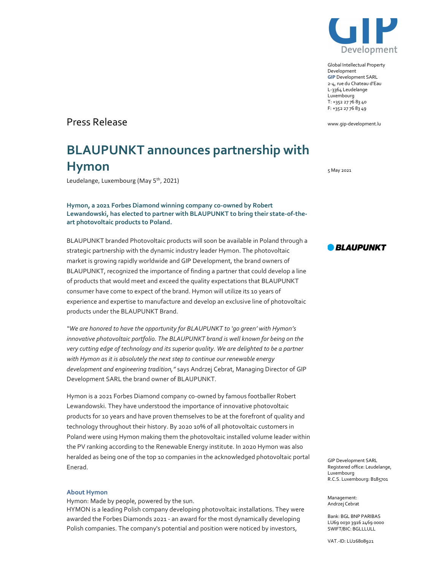

Global Intellectual Property Development GIP Development SARL 2-4, rue du Chateau d'Eau L-3364 Leudelange Luxembourg T: +352 27 76 83 40 F: +352 27 76 83 49

www.gip-development.lu

# Press Release

# BLAUPUNKT announces partnership with Hymon

Leudelange, Luxembourg (May 5<sup>th</sup>, 2021)

Hymon, a 2021 Forbes Diamond winning company co-owned by Robert Lewandowski, has elected to partner with BLAUPUNKT to bring their state-of-theart photovoltaic products to Poland.

BLAUPUNKT branded Photovoltaic products will soon be available in Poland through a strategic partnership with the dynamic industry leader Hymon. The photovoltaic market is growing rapidly worldwide and GIP Development, the brand owners of BLAUPUNKT, recognized the importance of finding a partner that could develop a line of products that would meet and exceed the quality expectations that BLAUPUNKT consumer have come to expect of the brand. Hymon will utilize its 10 years of experience and expertise to manufacture and develop an exclusive line of photovoltaic products under the BLAUPUNKT Brand.

"We are honored to have the opportunity for BLAUPUNKT to 'go green' with Hymon's innovative photovoltaic portfolio. The BLAUPUNKT brand is well known for being on the very cutting edge of technology and its superior quality. We are delighted to be a partner with Hymon as it is absolutely the next step to continue our renewable energy development and engineering tradition," says Andrzej Cebrat, Managing Director of GIP Development SARL the brand owner of BLAUPUNKT.

Hymon is a 2021 Forbes Diamond company co-owned by famous footballer Robert Lewandowski. They have understood the importance of innovative photovoltaic products for 10 years and have proven themselves to be at the forefront of quality and technology throughout their history. By 2020 10% of all photovoltaic customers in Poland were using Hymon making them the photovoltaic installed volume leader within the PV ranking according to the Renewable Energy institute. In 2020 Hymon was also heralded as being one of the top 10 companies in the acknowledged photovoltaic portal Enerad.

#### About Hymon

Hymon: Made by people, powered by the sun.

HYMON is a leading Polish company developing photovoltaic installations. They were awarded the Forbes Diamonds 2021 - an award for the most dynamically developing Polish companies. The company's potential and position were noticed by investors,

5 May 2021



GIP Development SARL Registered office: Leudelange, Luxembourg R.C.S. Luxembourg: B185701

Management: Andrzej Cebrat

Bank: BGL BNP PARIBAS LU69 0030 3916 2469 0000 SWIFT/BIC: BGLLLULL

VAT.-ID: LU26808921